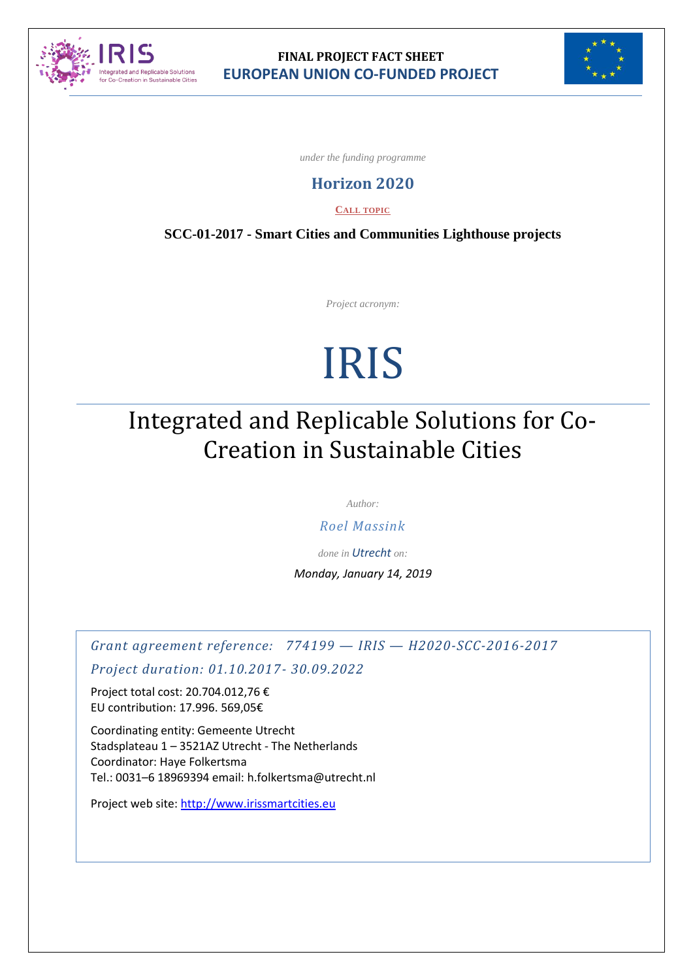



*under the funding programme*

### **Horizon 2020**

**CALL TOPIC**

**SCC-01-2017 - Smart Cities and Communities Lighthouse projects**

*Project acronym:*

# IRIS

# Integrated and Replicable Solutions for Co-Creation in Sustainable Cities

*Author:*

*Roel Massink*

*done in Utrecht on:*

*Monday, January 14, 2019*

*Grant agreement reference: 774199 — IRIS — H2020-SCC-2016-2017*

*Project duration: 01.10.2017- 30.09.2022*

Project total cost: 20.704.012,76 € EU contribution: 17.996. 569,05€

Coordinating entity: Gemeente Utrecht Stadsplateau 1 – 3521AZ Utrecht - The Netherlands Coordinator: Haye Folkertsma Tel.: 0031–6 18969394 email: h.folkertsma@utrecht.nl

Project web site: [http://www.irissmartcities.e](http://www.xxxxxx/)u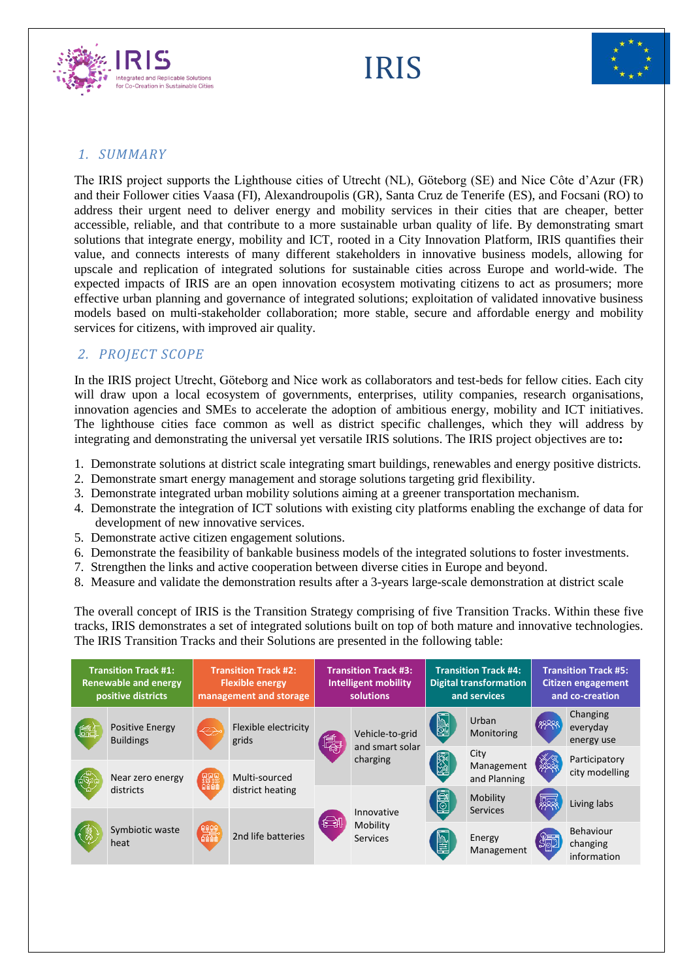

IRIS



#### *1. SUMMARY*

The IRIS project supports the Lighthouse cities of Utrecht (NL), Göteborg (SE) and Nice Côte d'Azur (FR) and their Follower cities Vaasa (FI), Alexandroupolis (GR), Santa Cruz de Tenerife (ES), and Focsani (RO) to address their urgent need to deliver energy and mobility services in their cities that are cheaper, better accessible, reliable, and that contribute to a more sustainable urban quality of life. By demonstrating smart solutions that integrate energy, mobility and ICT, rooted in a City Innovation Platform, IRIS quantifies their value, and connects interests of many different stakeholders in innovative business models, allowing for upscale and replication of integrated solutions for sustainable cities across Europe and world-wide. The expected impacts of IRIS are an open innovation ecosystem motivating citizens to act as prosumers; more effective urban planning and governance of integrated solutions; exploitation of validated innovative business models based on multi-stakeholder collaboration; more stable, secure and affordable energy and mobility services for citizens, with improved air quality.

#### *2. PROJECT SCOPE*

In the IRIS project Utrecht, Göteborg and Nice work as collaborators and test-beds for fellow cities. Each city will draw upon a local ecosystem of governments, enterprises, utility companies, research organisations, innovation agencies and SMEs to accelerate the adoption of ambitious energy, mobility and ICT initiatives. The lighthouse cities face common as well as district specific challenges, which they will address by integrating and demonstrating the universal yet versatile IRIS solutions. The IRIS project objectives are to**:** 

- 1. Demonstrate solutions at district scale integrating smart buildings, renewables and energy positive districts.
- 2. Demonstrate smart energy management and storage solutions targeting grid flexibility.
- 3. Demonstrate integrated urban mobility solutions aiming at a greener transportation mechanism.
- 4. Demonstrate the integration of ICT solutions with existing city platforms enabling the exchange of data for development of new innovative services.
- 5. Demonstrate active citizen engagement solutions.
- 6. Demonstrate the feasibility of bankable business models of the integrated solutions to foster investments.
- 7. Strengthen the links and active cooperation between diverse cities in Europe and beyond.
- 8. Measure and validate the demonstration results after a 3-years large-scale demonstration at district scale

The overall concept of IRIS is the Transition Strategy comprising of five Transition Tracks. Within these five tracks, IRIS demonstrates a set of integrated solutions built on top of both mature and innovative technologies. The IRIS Transition Tracks and their Solutions are presented in the following table:

| <b>Transition Track #1:</b><br><b>Renewable and energy</b><br>positive districts |                                            | <b>Transition Track #2:</b><br><b>Flexible energy</b><br>management and storage |                                                         | <b>Transition Track #3:</b><br><b>Intelligent mobility</b><br>solutions |                                           | <b>Transition Track #4:</b><br><b>Digital transformation</b><br>and services |                                    | <b>Transition Track #5:</b><br><b>Citizen engagement</b><br>and co-creation |                                      |
|----------------------------------------------------------------------------------|--------------------------------------------|---------------------------------------------------------------------------------|---------------------------------------------------------|-------------------------------------------------------------------------|-------------------------------------------|------------------------------------------------------------------------------|------------------------------------|-----------------------------------------------------------------------------|--------------------------------------|
| 鰛                                                                                | <b>Positive Energy</b><br><b>Buildings</b> | $\Leftrightarrow$                                                               | Flexible electricity<br>grids                           | 鶣                                                                       | Vehicle-to-grid<br>and smart solar        | <b>SHIP</b>                                                                  | Urban<br>Monitoring                | 8888                                                                        | Changing<br>everyday<br>energy use   |
|                                                                                  | Near zero energy                           | <b>GOO</b><br>#B##                                                              | Multi-sourced<br>district heating<br>2nd life batteries |                                                                         | charging                                  | <b>KAN</b>                                                                   | City<br>Management<br>and Planning | $\frac{8600}{7}$                                                            | Participatory<br>city modelling      |
|                                                                                  | districts                                  |                                                                                 |                                                         | (€)                                                                     | Innovative<br>Mobility<br><b>Services</b> | <b>B</b>                                                                     | Mobility<br>Services               |                                                                             | Living labs                          |
|                                                                                  | Symbiotic waste<br>heat                    | eee                                                                             |                                                         |                                                                         |                                           | ু                                                                            | Energy<br>Management               | 5ြမ                                                                         | Behaviour<br>changing<br>information |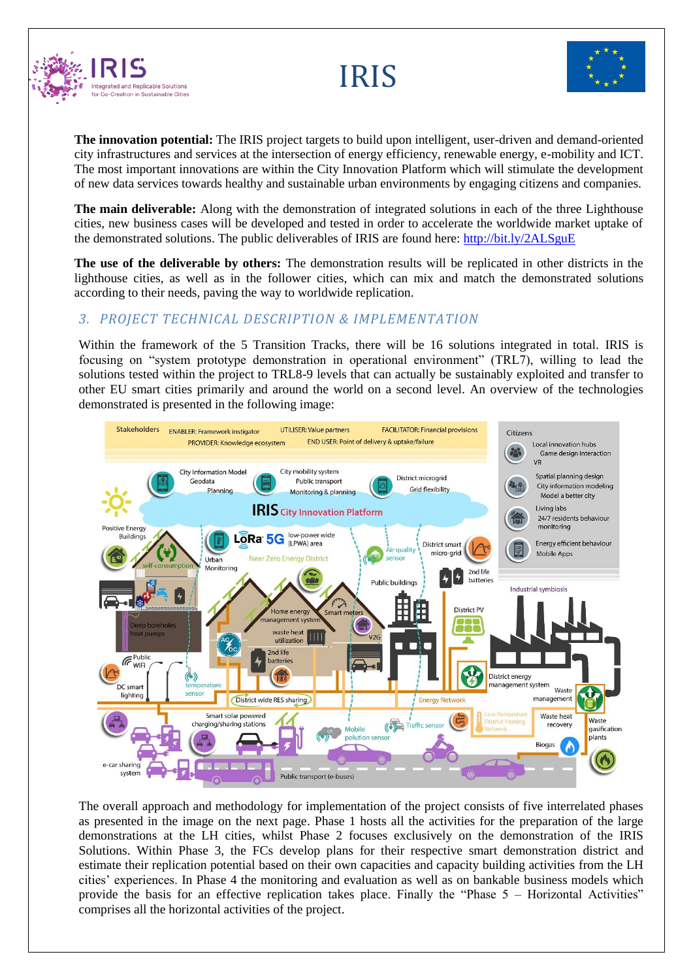

#### **The innovation potential:** The IRIS project targets to build upon intelligent, user-driven and demand-oriented city infrastructures and services at the intersection of energy efficiency, renewable energy, e-mobility and ICT. The most important innovations are within the City Innovation Platform which will stimulate the development of new data services towards healthy and sustainable urban environments by engaging citizens and companies.

IRIS

**The main deliverable:** Along with the demonstration of integrated solutions in each of the three Lighthouse cities, new business cases will be developed and tested in order to accelerate the worldwide market uptake of the demonstrated solutions. The public deliverables of IRIS are found here: <http://bit.ly/2ALSguE>

**The use of the deliverable by others:** The demonstration results will be replicated in other districts in the lighthouse cities, as well as in the follower cities, which can mix and match the demonstrated solutions according to their needs, paving the way to worldwide replication.

## *3. PROJECT TECHNICAL DESCRIPTION & IMPLEMENTATION*

Within the framework of the 5 Transition Tracks, there will be 16 solutions integrated in total. IRIS is focusing on "system prototype demonstration in operational environment" (TRL7), willing to lead the solutions tested within the project to TRL8-9 levels that can actually be sustainably exploited and transfer to other EU smart cities primarily and around the world on a second level. An overview of the technologies demonstrated is presented in the following image:



The overall approach and methodology for implementation of the project consists of five interrelated phases as presented in the image on the next page. Phase 1 hosts all the activities for the preparation of the large demonstrations at the LH cities, whilst Phase 2 focuses exclusively on the demonstration of the IRIS Solutions. Within Phase 3, the FCs develop plans for their respective smart demonstration district and estimate their replication potential based on their own capacities and capacity building activities from the LH cities' experiences. In Phase 4 the monitoring and evaluation as well as on bankable business models which provide the basis for an effective replication takes place. Finally the "Phase 5 – Horizontal Activities" comprises all the horizontal activities of the project.